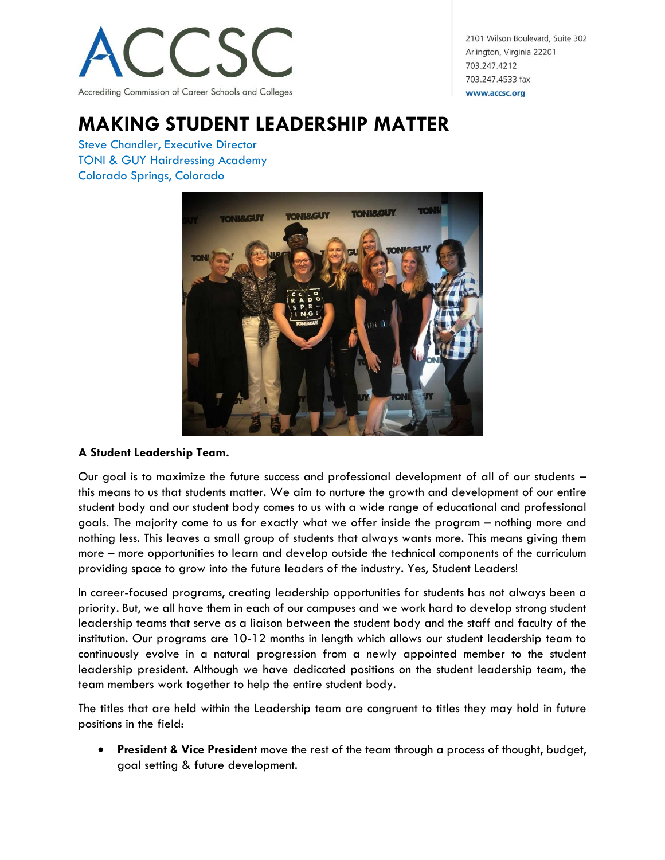

2101 Wilson Boulevard, Suite 302 Arlington, Virginia 22201 703.247.4212 703.247.4533 fax www.accsc.org

## **MAKING STUDENT LEADERSHIP MATTER**

Steve Chandler, Executive Director TONI & GUY Hairdressing Academy Colorado Springs, Colorado



## **A Student Leadership Team.**

Our goal is to maximize the future success and professional development of all of our students – this means to us that students matter. We aim to nurture the growth and development of our entire student body and our student body comes to us with a wide range of educational and professional goals. The majority come to us for exactly what we offer inside the program – nothing more and nothing less. This leaves a small group of students that always wants more. This means giving them more – more opportunities to learn and develop outside the technical components of the curriculum providing space to grow into the future leaders of the industry. Yes, Student Leaders!

In career-focused programs, creating leadership opportunities for students has not always been a priority. But, we all have them in each of our campuses and we work hard to develop strong student leadership teams that serve as a liaison between the student body and the staff and faculty of the institution. Our programs are 10-12 months in length which allows our student leadership team to continuously evolve in a natural progression from a newly appointed member to the student leadership president. Although we have dedicated positions on the student leadership team, the team members work together to help the entire student body.

The titles that are held within the Leadership team are congruent to titles they may hold in future positions in the field:

 **President & Vice President** move the rest of the team through a process of thought, budget, goal setting & future development.